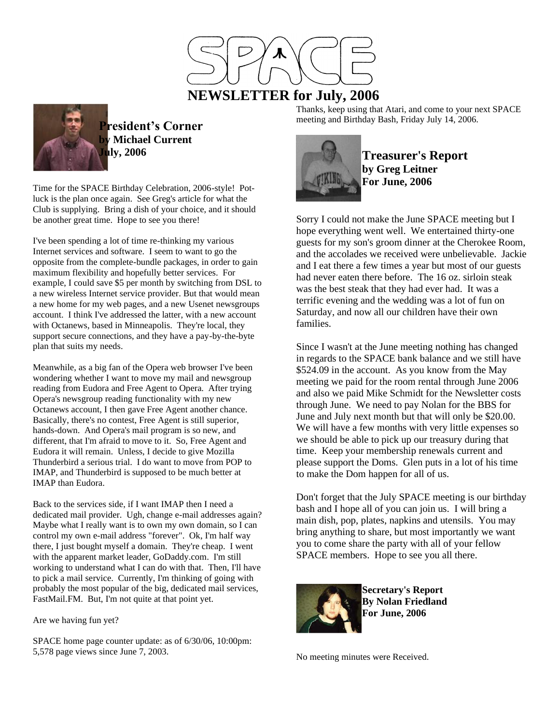

**President's Corner by Michael Current July, 2006**

Time for the SPACE Birthday Celebration, 2006-style! Potluck is the plan once again. See Greg's article for what the Club is supplying. Bring a dish of your choice, and it should be another great time. Hope to see you there!

I've been spending a lot of time re-thinking my various Internet services and software. I seem to want to go the opposite from the complete-bundle packages, in order to gain maximum flexibility and hopefully better services. For example, I could save \$5 per month by switching from DSL to a new wireless Internet service provider. But that would mean a new home for my web pages, and a new Usenet newsgroups account. I think I've addressed the latter, with a new account with Octanews, based in Minneapolis. They're local, they support secure connections, and they have a pay-by-the-byte plan that suits my needs.

Meanwhile, as a big fan of the Opera web browser I've been wondering whether I want to move my mail and newsgroup reading from Eudora and Free Agent to Opera. After trying Opera's newsgroup reading functionality with my new Octanews account, I then gave Free Agent another chance. Basically, there's no contest, Free Agent is still superior, hands-down. And Opera's mail program is so new, and different, that I'm afraid to move to it. So, Free Agent and Eudora it will remain. Unless, I decide to give Mozilla Thunderbird a serious trial. I do want to move from POP to IMAP, and Thunderbird is supposed to be much better at IMAP than Eudora.

Back to the services side, if I want IMAP then I need a dedicated mail provider. Ugh, change e-mail addresses again? Maybe what I really want is to own my own domain, so I can control my own e-mail address "forever". Ok, I'm half way there, I just bought myself a domain. They're cheap. I went with the apparent market leader, GoDaddy.com. I'm still working to understand what I can do with that. Then, I'll have to pick a mail service. Currently, I'm thinking of going with probably the most popular of the big, dedicated mail services, FastMail.FM. But, I'm not quite at that point yet.

Are we having fun yet?

SPACE home page counter update: as of 6/30/06, 10:00pm: 5,578 page views since June 7, 2003.

Thanks, keep using that Atari, and come to your next SPACE meeting and Birthday Bash, Friday July 14, 2006.



**Treasurer's Report by Greg Leitner For June, 2006**

Sorry I could not make the June SPACE meeting but I hope everything went well. We entertained thirty-one guests for my son's groom dinner at the Cherokee Room, and the accolades we received were unbelievable. Jackie and I eat there a few times a year but most of our guests had never eaten there before. The 16 oz. sirloin steak was the best steak that they had ever had. It was a terrific evening and the wedding was a lot of fun on Saturday, and now all our children have their own families.

Since I wasn't at the June meeting nothing has changed in regards to the SPACE bank balance and we still have \$524.09 in the account. As you know from the May meeting we paid for the room rental through June 2006 and also we paid Mike Schmidt for the Newsletter costs through June. We need to pay Nolan for the BBS for June and July next month but that will only be \$20.00. We will have a few months with very little expenses so we should be able to pick up our treasury during that time. Keep your membership renewals current and please support the Doms. Glen puts in a lot of his time to make the Dom happen for all of us.

Don't forget that the July SPACE meeting is our birthday bash and I hope all of you can join us. I will bring a main dish, pop, plates, napkins and utensils. You may bring anything to share, but most importantly we want you to come share the party with all of your fellow SPACE members. Hope to see you all there.



**Secretary's Report By Nolan Friedland For June, 2006**

No meeting minutes were Received.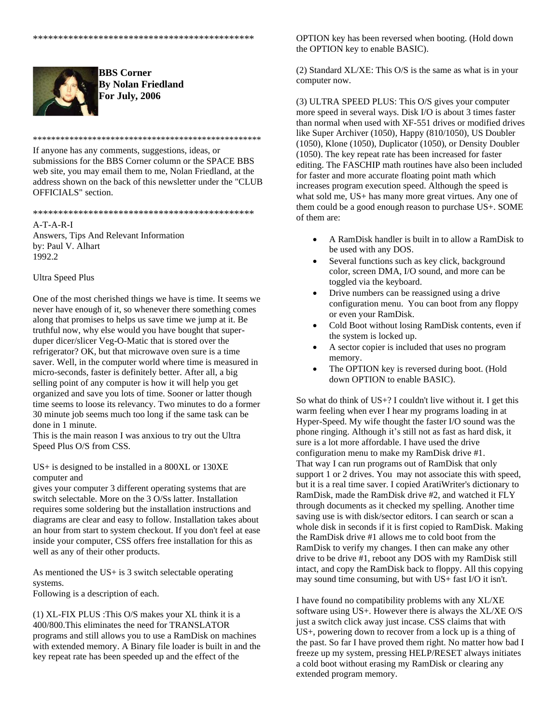

**BBS Corner By Nolan Friedland For July, 2006**

\*\*\*\*\*\*\*\*\*\*\*\*\*\*\*\*\*\*\*\*\*\*\*\*\*\*\*\*\*\*\*\*\*\*\*\*\*\*\*\*\*\*\*\*\*\*\*\*\*\* If anyone has any comments, suggestions, ideas, or submissions for the BBS Corner column or the SPACE BBS web site, you may email them to me, Nolan Friedland, at the address shown on the back of this newsletter under the "CLUB OFFICIALS" section.

\*\*\*\*\*\*\*\*\*\*\*\*\*\*\*\*\*\*\*\*\*\*\*\*\*\*\*\*\*\*\*\*\*\*\*\*\*\*\*\*\*\*\*\*

 $A-T-A-RI-I$ Answers, Tips And Relevant Information by: Paul V. Alhart 1992.2

## Ultra Speed Plus

One of the most cherished things we have is time. It seems we never have enough of it, so whenever there something comes along that promises to helps us save time we jump at it. Be truthful now, why else would you have bought that superduper dicer/slicer Veg-O-Matic that is stored over the refrigerator? OK, but that microwave oven sure is a time saver. Well, in the computer world where time is measured in micro-seconds, faster is definitely better. After all, a big selling point of any computer is how it will help you get organized and save you lots of time. Sooner or latter though time seems to loose its relevancy. Two minutes to do a former 30 minute job seems much too long if the same task can be done in 1 minute.

This is the main reason I was anxious to try out the Ultra Speed Plus O/S from CSS.

US+ is designed to be installed in a 800XL or 130XE computer and

gives your computer 3 different operating systems that are switch selectable. More on the 3 O/Ss latter. Installation requires some soldering but the installation instructions and diagrams are clear and easy to follow. Installation takes about an hour from start to system checkout. If you don't feel at ease inside your computer, CSS offers free installation for this as well as any of their other products.

As mentioned the US+ is 3 switch selectable operating systems.

Following is a description of each.

(1) XL-FIX PLUS :This O/S makes your XL think it is a 400/800.This eliminates the need for TRANSLATOR programs and still allows you to use a RamDisk on machines with extended memory. A Binary file loader is built in and the key repeat rate has been speeded up and the effect of the

OPTION key has been reversed when booting. (Hold down the OPTION key to enable BASIC).

(2) Standard XL/XE: This O/S is the same as what is in your computer now.

(3) ULTRA SPEED PLUS: This O/S gives your computer more speed in several ways. Disk I/O is about 3 times faster than normal when used with XF-551 drives or modified drives like Super Archiver (1050), Happy (810/1050), US Doubler (1050), Klone (1050), Duplicator (1050), or Density Doubler (1050). The key repeat rate has been increased for faster editing. The FASCHIP math routines have also been included for faster and more accurate floating point math which increases program execution speed. Although the speed is what sold me, US+ has many more great virtues. Any one of them could be a good enough reason to purchase US+. SOME of them are:

- A RamDisk handler is built in to allow a RamDisk to be used with any DOS.
- Several functions such as key click, background color, screen DMA, I/O sound, and more can be toggled via the keyboard.
- Drive numbers can be reassigned using a drive configuration menu. You can boot from any floppy or even your RamDisk.
- Cold Boot without losing RamDisk contents, even if the system is locked up.
- A sector copier is included that uses no program memory.
- The OPTION key is reversed during boot. (Hold down OPTION to enable BASIC).

So what do think of US+? I couldn't live without it. I get this warm feeling when ever I hear my programs loading in at Hyper-Speed. My wife thought the faster I/O sound was the phone ringing. Although it's still not as fast as hard disk, it sure is a lot more affordable. I have used the drive configuration menu to make my RamDisk drive #1. That way I can run programs out of RamDisk that only support 1 or 2 drives. You may not associate this with speed, but it is a real time saver. I copied AratiWriter's dictionary to RamDisk, made the RamDisk drive #2, and watched it FLY through documents as it checked my spelling. Another time saving use is with disk/sector editors. I can search or scan a whole disk in seconds if it is first copied to RamDisk. Making the RamDisk drive #1 allows me to cold boot from the RamDisk to verify my changes. I then can make any other drive to be drive #1, reboot any DOS with my RamDisk still intact, and copy the RamDisk back to floppy. All this copying may sound time consuming, but with US+ fast I/O it isn't.

I have found no compatibility problems with any XL/XE software using US+. However there is always the XL/XE O/S just a switch click away just incase. CSS claims that with US+, powering down to recover from a lock up is a thing of the past. So far I have proved them right. No matter how bad I freeze up my system, pressing HELP/RESET always initiates a cold boot without erasing my RamDisk or clearing any extended program memory.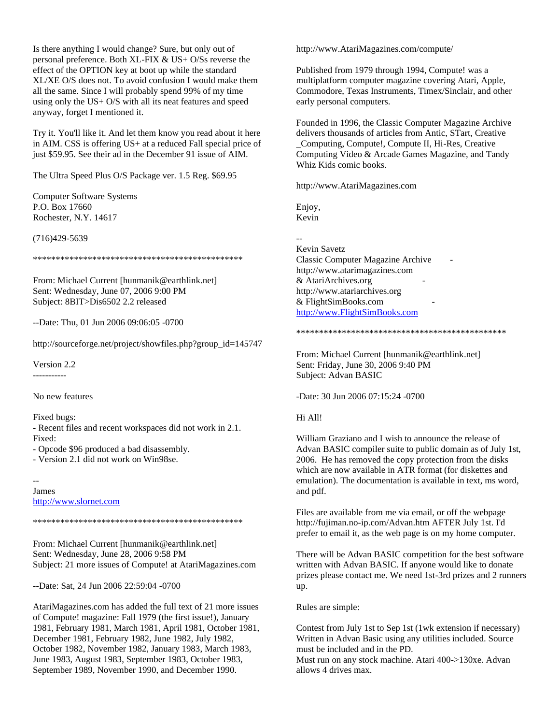Is there anything I would change? Sure, but only out of personal preference. Both XL-FIX & US+ O/Ss reverse the effect of the OPTION key at boot up while the standard XL/XE O/S does not. To avoid confusion I would make them all the same. Since I will probably spend 99% of my time using only the US+ O/S with all its neat features and speed anyway, forget I mentioned it.

Try it. You'll like it. And let them know you read about it here in AIM. CSS is offering US+ at a reduced Fall special price of just \$59.95. See their ad in the December 91 issue of AIM.

The Ultra Speed Plus O/S Package ver. 1.5 Reg. \$69.95

Computer Software Systems P.O. Box 17660 Rochester, N.Y. 14617

(716)429-5639

\*\*\*\*\*\*\*\*\*\*\*\*\*\*\*\*\*\*\*\*\*\*\*\*\*\*\*\*\*\*\*\*\*\*\*\*\*\*\*\*\*\*\*\*\*\*

From: Michael Current [hunmanik@earthlink.net] Sent: Wednesday, June 07, 2006 9:00 PM Subject: 8BIT>Dis6502 2.2 released

--Date: Thu, 01 Jun 2006 09:06:05 -0700

http://sourceforge.net/project/showfiles.php?group\_id=145747

Version 2.2 -----------

No new features

Fixed bugs:

- Recent files and recent workspaces did not work in 2.1. Fixed:

- Opcode \$96 produced a bad disassembly.

- Version 2.1 did not work on Win98se.

--

James http://www.slornet.com

\*\*\*\*\*\*\*\*\*\*\*\*\*\*\*\*\*\*\*\*\*\*\*\*\*\*\*\*\*\*\*\*\*\*\*\*\*\*\*\*\*\*\*\*\*\*

From: Michael Current [hunmanik@earthlink.net] Sent: Wednesday, June 28, 2006 9:58 PM Subject: 21 more issues of Compute! at AtariMagazines.com

--Date: Sat, 24 Jun 2006 22:59:04 -0700

AtariMagazines.com has added the full text of 21 more issues of Compute! magazine: Fall 1979 (the first issue!), January 1981, February 1981, March 1981, April 1981, October 1981, December 1981, February 1982, June 1982, July 1982, October 1982, November 1982, January 1983, March 1983, June 1983, August 1983, September 1983, October 1983, September 1989, November 1990, and December 1990.

http://www.AtariMagazines.com/compute/

Published from 1979 through 1994, Compute! was a multiplatform computer magazine covering Atari, Apple, Commodore, Texas Instruments, Timex/Sinclair, and other early personal computers.

Founded in 1996, the Classic Computer Magazine Archive delivers thousands of articles from Antic, STart, Creative \_Computing, Compute!, Compute II, Hi-Res, Creative Computing Video & Arcade Games Magazine, and Tandy Whiz Kids comic books.

http://www.AtariMagazines.com

Enjoy, Kevin

-- Kevin Savetz Classic Computer Magazine Archive http://www.atarimagazines.com & AtariArchives.org http://www.atariarchives.org & FlightSimBooks.com http://www.FlightSimBooks.com

\*\*\*\*\*\*\*\*\*\*\*\*\*\*\*\*\*\*\*\*\*\*\*\*\*\*\*\*\*\*\*\*\*\*\*\*\*\*\*\*\*\*\*\*\*\*

From: Michael Current [hunmanik@earthlink.net] Sent: Friday, June 30, 2006 9:40 PM Subject: Advan BASIC

-Date: 30 Jun 2006 07:15:24 -0700

## Hi All!

William Graziano and I wish to announce the release of Advan BASIC compiler suite to public domain as of July 1st, 2006. He has removed the copy protection from the disks which are now available in ATR format (for diskettes and emulation). The documentation is available in text, ms word, and pdf.

Files are available from me via email, or off the webpage http://fujiman.no-ip.com/Advan.htm AFTER July 1st. I'd prefer to email it, as the web page is on my home computer.

There will be Advan BASIC competition for the best software written with Advan BASIC. If anyone would like to donate prizes please contact me. We need 1st-3rd prizes and 2 runners up.

Rules are simple:

Contest from July 1st to Sep 1st (1wk extension if necessary) Written in Advan Basic using any utilities included. Source must be included and in the PD.

Must run on any stock machine. Atari 400->130xe. Advan allows 4 drives max.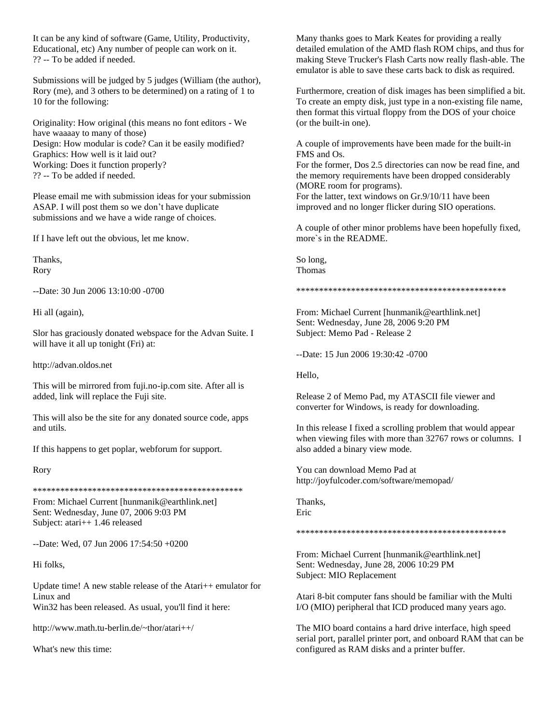It can be any kind of software (Game, Utility, Productivity, Educational, etc) Any number of people can work on it. ?? -- To be added if needed.

Submissions will be judged by 5 judges (William (the author), Rory (me), and 3 others to be determined) on a rating of 1 to 10 for the following:

Originality: How original (this means no font editors - We have waaaay to many of those) Design: How modular is code? Can it be easily modified? Graphics: How well is it laid out? Working: Does it function properly? ?? -- To be added if needed.

Please email me with submission ideas for your submission ASAP. I will post them so we don't have duplicate submissions and we have a wide range of choices.

If I have left out the obvious, let me know.

Thanks, Rory

--Date: 30 Jun 2006 13:10:00 -0700

Hi all (again),

Slor has graciously donated webspace for the Advan Suite. I will have it all up tonight (Fri) at:

http://advan.oldos.net

This will be mirrored from fuji.no-ip.com site. After all is added, link will replace the Fuji site.

This will also be the site for any donated source code, apps and utils.

If this happens to get poplar, webforum for support.

Rory

\*\*\*\*\*\*\*\*\*\*\*\*\*\*\*\*\*\*\*\*\*\*\*\*\*\*\*\*\*\*\*\*\*\*\*\*\*\*\*\*\*\*\*\*\*\*

From: Michael Current [hunmanik@earthlink.net] Sent: Wednesday, June 07, 2006 9:03 PM Subject: atari++ 1.46 released

--Date: Wed, 07 Jun 2006 17:54:50 +0200

Hi folks,

Update time! A new stable release of the Atari++ emulator for Linux and

Win32 has been released. As usual, you'll find it here:

http://www.math.tu-berlin.de/~thor/atari++/

What's new this time:

Many thanks goes to Mark Keates for providing a really detailed emulation of the AMD flash ROM chips, and thus for making Steve Trucker's Flash Carts now really flash-able. The emulator is able to save these carts back to disk as required.

Furthermore, creation of disk images has been simplified a bit. To create an empty disk, just type in a non-existing file name, then format this virtual floppy from the DOS of your choice (or the built-in one).

A couple of improvements have been made for the built-in FMS and Os.

For the former, Dos 2.5 directories can now be read fine, and the memory requirements have been dropped considerably (MORE room for programs). For the latter, text windows on Gr.9/10/11 have been

improved and no longer flicker during SIO operations.

A couple of other minor problems have been hopefully fixed, more`s in the README.

So long, Thomas

\*\*\*\*\*\*\*\*\*\*\*\*\*\*\*\*\*\*\*\*\*\*\*\*\*\*\*\*\*\*\*\*\*\*\*\*\*\*\*\*\*\*\*\*\*\*

From: Michael Current [hunmanik@earthlink.net] Sent: Wednesday, June 28, 2006 9:20 PM Subject: Memo Pad - Release 2

--Date: 15 Jun 2006 19:30:42 -0700

Hello,

Release 2 of Memo Pad, my ATASCII file viewer and converter for Windows, is ready for downloading.

In this release I fixed a scrolling problem that would appear when viewing files with more than 32767 rows or columns. I also added a binary view mode.

You can download Memo Pad at http://joyfulcoder.com/software/memopad/

Thanks, Eric

\*\*\*\*\*\*\*\*\*\*\*\*\*\*\*\*\*\*\*\*\*\*\*\*\*\*\*\*\*\*\*\*\*\*\*\*\*\*\*\*\*\*\*\*\*\*

From: Michael Current [hunmanik@earthlink.net] Sent: Wednesday, June 28, 2006 10:29 PM Subject: MIO Replacement

Atari 8-bit computer fans should be familiar with the Multi I/O (MIO) peripheral that ICD produced many years ago.

The MIO board contains a hard drive interface, high speed serial port, parallel printer port, and onboard RAM that can be configured as RAM disks and a printer buffer.